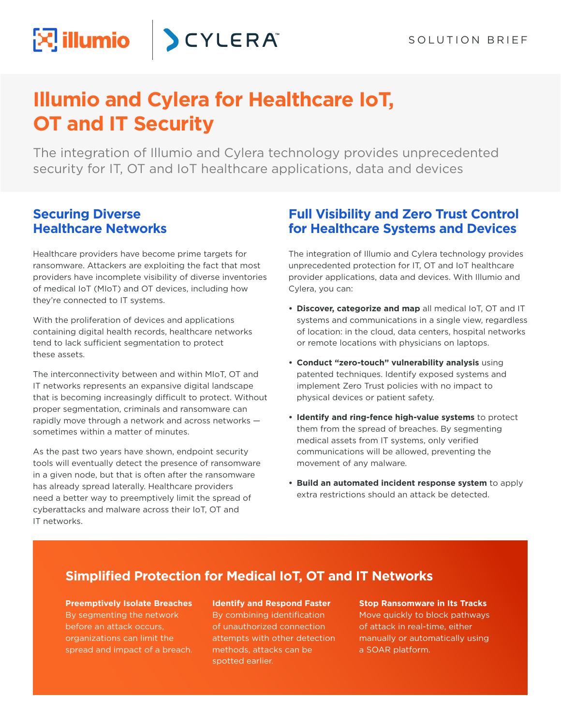# **Illumio and Cylera for Healthcare IoT, OT and IT Security**

**SCYLERA** 

The integration of Illumio and Cylera technology provides unprecedented security for IT, OT and IoT healthcare applications, data and devices

#### **Securing Diverse Healthcare Networks**

 $\left[\sum\right]$  illumio

Healthcare providers have become prime targets for ransomware. Attackers are exploiting the fact that most providers have incomplete visibility of diverse inventories of medical IoT (MIoT) and OT devices, including how they're connected to IT systems.

With the proliferation of devices and applications containing digital health records, healthcare networks tend to lack sufficient segmentation to protect these assets.

The interconnectivity between and within MIoT, OT and IT networks represents an expansive digital landscape that is becoming increasingly difficult to protect. Without proper segmentation, criminals and ransomware can rapidly move through a network and across networks sometimes within a matter of minutes.

As the past two years have shown, endpoint security tools will eventually detect the presence of ransomware in a given node, but that is often after the ransomware has already spread laterally. Healthcare providers need a better way to preemptively limit the spread of cyberattacks and malware across their IoT, OT and IT networks.

#### **Full Visibility and Zero Trust Control for Healthcare Systems and Devices**

The integration of Illumio and Cylera technology provides unprecedented protection for IT, OT and IoT healthcare provider applications, data and devices. With Illumio and Cylera, you can:

- **• Discover, categorize and map** all medical IoT, OT and IT systems and communications in a single view, regardless of location: in the cloud, data centers, hospital networks or remote locations with physicians on laptops.
- **• Conduct "zero-touch" vulnerability analysis** using patented techniques. Identify exposed systems and implement Zero Trust policies with no impact to physical devices or patient safety.
- **• Identify and ring-fence high-value systems** to protect them from the spread of breaches. By segmenting medical assets from IT systems, only verified communications will be allowed, preventing the movement of any malware.
- **• Build an automated incident response system** to apply extra restrictions should an attack be detected.

#### **Simplified Protection for Medical IoT, OT and IT Networks**

**Preemptively Isolate Breaches** By segmenting the network before an attack occurs, organizations can limit the spread and impact of a breach. **Identify and Respond Faster** By combining identification of unauthorized connection attempts with other detection methods, attacks can be spotted earlier.

**Stop Ransomware in Its Tracks**  Move quickly to block pathways of attack in real-time, either manually or automatically using a SOAR platform.